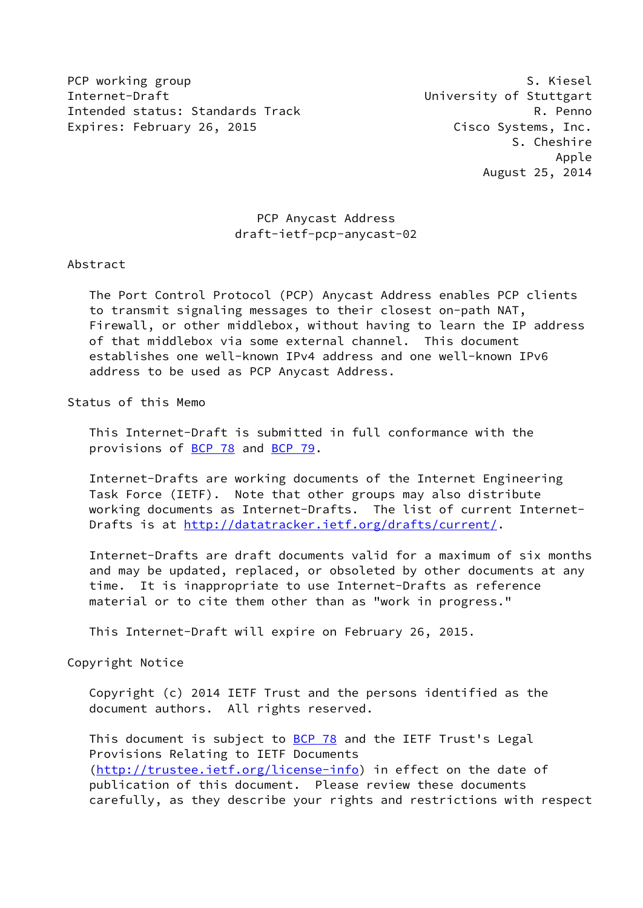PCP working group example and the set of the set of the S. Kiesel Internet-Draft University of Stuttgart Intended status: Standards Track R. Penno Expires: February 26, 2015 Cisco Systems, Inc.

# PCP Anycast Address draft-ietf-pcp-anycast-02

#### Abstract

 The Port Control Protocol (PCP) Anycast Address enables PCP clients to transmit signaling messages to their closest on-path NAT, Firewall, or other middlebox, without having to learn the IP address of that middlebox via some external channel. This document establishes one well-known IPv4 address and one well-known IPv6 address to be used as PCP Anycast Address.

# Status of this Memo

 This Internet-Draft is submitted in full conformance with the provisions of [BCP 78](https://datatracker.ietf.org/doc/pdf/bcp78) and [BCP 79](https://datatracker.ietf.org/doc/pdf/bcp79).

 Internet-Drafts are working documents of the Internet Engineering Task Force (IETF). Note that other groups may also distribute working documents as Internet-Drafts. The list of current Internet- Drafts is at<http://datatracker.ietf.org/drafts/current/>.

 Internet-Drafts are draft documents valid for a maximum of six months and may be updated, replaced, or obsoleted by other documents at any time. It is inappropriate to use Internet-Drafts as reference material or to cite them other than as "work in progress."

This Internet-Draft will expire on February 26, 2015.

#### Copyright Notice

 Copyright (c) 2014 IETF Trust and the persons identified as the document authors. All rights reserved.

This document is subject to **[BCP 78](https://datatracker.ietf.org/doc/pdf/bcp78)** and the IETF Trust's Legal Provisions Relating to IETF Documents [\(http://trustee.ietf.org/license-info](http://trustee.ietf.org/license-info)) in effect on the date of publication of this document. Please review these documents carefully, as they describe your rights and restrictions with respect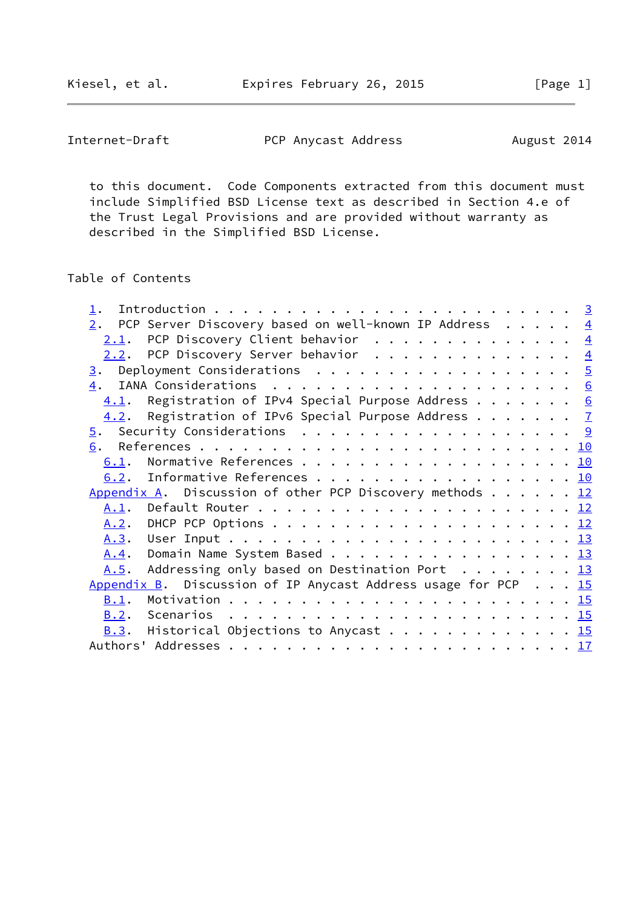Kiesel, et al. Expires February 26, 2015 [Page 1]

Internet-Draft **PCP** Anycast Address August 2014

 to this document. Code Components extracted from this document must include Simplified BSD License text as described in Section 4.e of the Trust Legal Provisions and are provided without warranty as described in the Simplified BSD License.

# Table of Contents

| 2.   | PCP Server Discovery based on well-known IP Address $\frac{4}{3}$      |  |  |  |
|------|------------------------------------------------------------------------|--|--|--|
|      | 2.1. PCP Discovery Client behavior $\frac{4}{5}$                       |  |  |  |
|      | 2.2. PCP Discovery Server behavior 4                                   |  |  |  |
| 3.   | Deployment Considerations $\ldots \ldots \ldots \ldots \ldots \ldots$  |  |  |  |
| 4.   |                                                                        |  |  |  |
| 4.1. |                                                                        |  |  |  |
| 4.2. | Registration of IPv6 Special Purpose Address $\frac{7}{2}$             |  |  |  |
|      | <u>5</u> . Security Considerations 9                                   |  |  |  |
| 6.   |                                                                        |  |  |  |
| 6.1. |                                                                        |  |  |  |
|      | 6.2. Informative References 10                                         |  |  |  |
|      | Appendix A. Discussion of other PCP Discovery methods $\dots \dots$ 12 |  |  |  |
|      |                                                                        |  |  |  |
|      |                                                                        |  |  |  |
|      |                                                                        |  |  |  |
| A.4. | Domain Name System Based 13                                            |  |  |  |
| A.5. | Addressing only based on Destination Port $\dots \dots \dots$ 13       |  |  |  |
|      | Appendix B. Discussion of IP Anycast Address usage for PCP 15          |  |  |  |
| B.1. |                                                                        |  |  |  |
|      |                                                                        |  |  |  |
|      | B.3. Historical Objections to Anycast 15                               |  |  |  |
|      |                                                                        |  |  |  |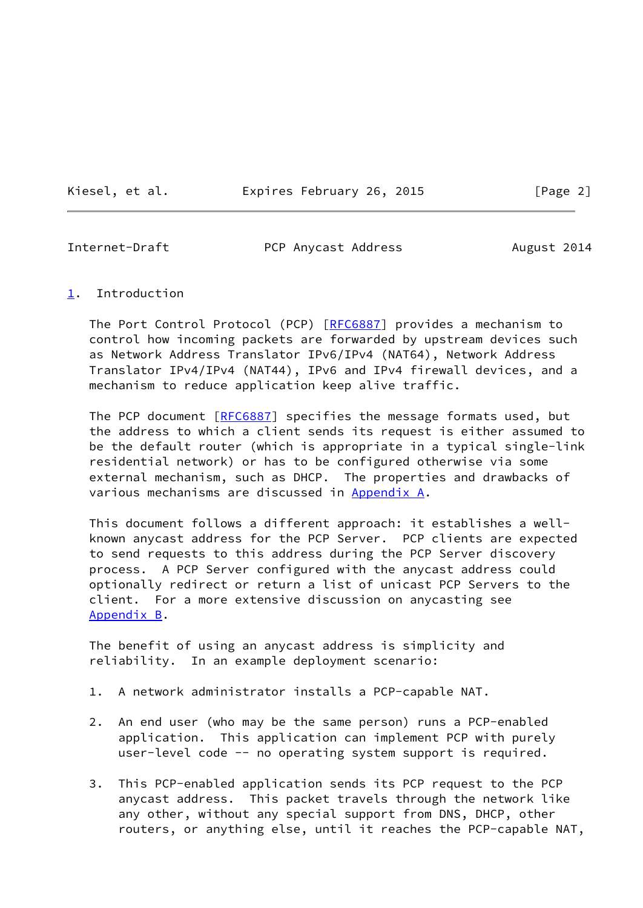Kiesel, et al. Expires February 26, 2015 [Page 2]

<span id="page-2-1"></span>

Internet-Draft **PCP Anycast Address** August 2014

<span id="page-2-0"></span>[1](#page-2-0). Introduction

The Port Control Protocol (PCP) [\[RFC6887](https://datatracker.ietf.org/doc/pdf/rfc6887)] provides a mechanism to control how incoming packets are forwarded by upstream devices such as Network Address Translator IPv6/IPv4 (NAT64), Network Address Translator IPv4/IPv4 (NAT44), IPv6 and IPv4 firewall devices, and a mechanism to reduce application keep alive traffic.

The PCP document [\[RFC6887](https://datatracker.ietf.org/doc/pdf/rfc6887)] specifies the message formats used, but the address to which a client sends its request is either assumed to be the default router (which is appropriate in a typical single-link residential network) or has to be configured otherwise via some external mechanism, such as DHCP. The properties and drawbacks of various mechanisms are discussed in [Appendix A.](#page-12-0)

 This document follows a different approach: it establishes a well known anycast address for the PCP Server. PCP clients are expected to send requests to this address during the PCP Server discovery process. A PCP Server configured with the anycast address could optionally redirect or return a list of unicast PCP Servers to the client. For a more extensive discussion on anycasting see [Appendix B](#page-15-0).

 The benefit of using an anycast address is simplicity and reliability. In an example deployment scenario:

- 1. A network administrator installs a PCP-capable NAT.
- 2. An end user (who may be the same person) runs a PCP-enabled application. This application can implement PCP with purely user-level code -- no operating system support is required.
- 3. This PCP-enabled application sends its PCP request to the PCP anycast address. This packet travels through the network like any other, without any special support from DNS, DHCP, other routers, or anything else, until it reaches the PCP-capable NAT,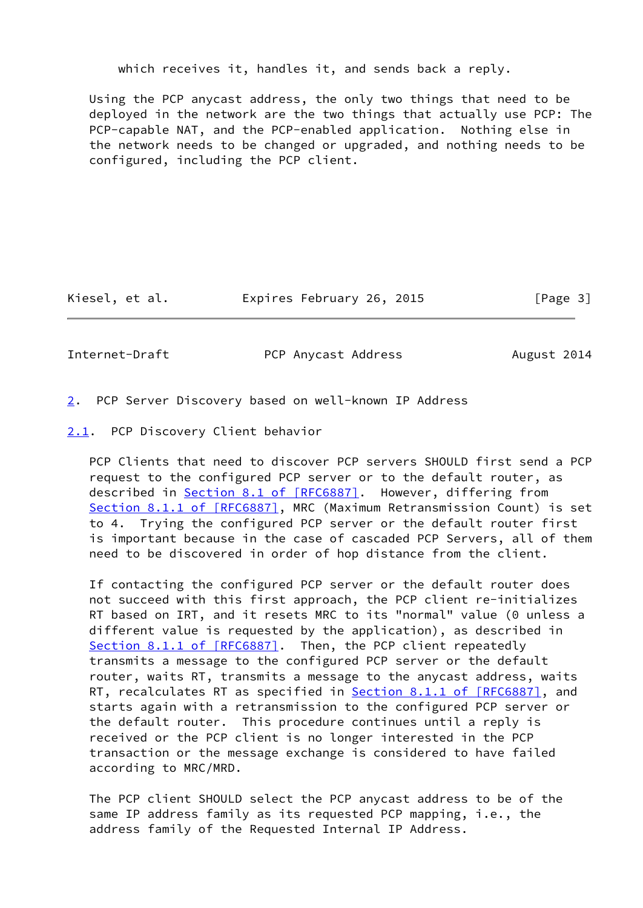which receives it, handles it, and sends back a reply.

 Using the PCP anycast address, the only two things that need to be deployed in the network are the two things that actually use PCP: The PCP-capable NAT, and the PCP-enabled application. Nothing else in the network needs to be changed or upgraded, and nothing needs to be configured, including the PCP client.

Kiesel, et al. Expires February 26, 2015 [Page 3]

<span id="page-3-1"></span>

Internet-Draft PCP Anycast Address August 2014

- <span id="page-3-0"></span>[2](#page-3-0). PCP Server Discovery based on well-known IP Address
- <span id="page-3-2"></span>[2.1](#page-3-2). PCP Discovery Client behavior

 PCP Clients that need to discover PCP servers SHOULD first send a PCP request to the configured PCP server or to the default router, as described in Section [8.1 of \[RFC6887\]](https://datatracker.ietf.org/doc/pdf/rfc6887#section-8.1). However, differing from Section [8.1.1 of \[RFC6887\]](https://datatracker.ietf.org/doc/pdf/rfc6887#section-8.1.1), MRC (Maximum Retransmission Count) is set to 4. Trying the configured PCP server or the default router first is important because in the case of cascaded PCP Servers, all of them need to be discovered in order of hop distance from the client.

 If contacting the configured PCP server or the default router does not succeed with this first approach, the PCP client re-initializes RT based on IRT, and it resets MRC to its "normal" value (0 unless a different value is requested by the application), as described in Section [8.1.1 of \[RFC6887\]](https://datatracker.ietf.org/doc/pdf/rfc6887#section-8.1.1). Then, the PCP client repeatedly transmits a message to the configured PCP server or the default router, waits RT, transmits a message to the anycast address, waits RT, recalculates RT as specified in **Section 8.1.1 of [RFC6887]**, and starts again with a retransmission to the configured PCP server or the default router. This procedure continues until a reply is received or the PCP client is no longer interested in the PCP transaction or the message exchange is considered to have failed according to MRC/MRD.

 The PCP client SHOULD select the PCP anycast address to be of the same IP address family as its requested PCP mapping, i.e., the address family of the Requested Internal IP Address.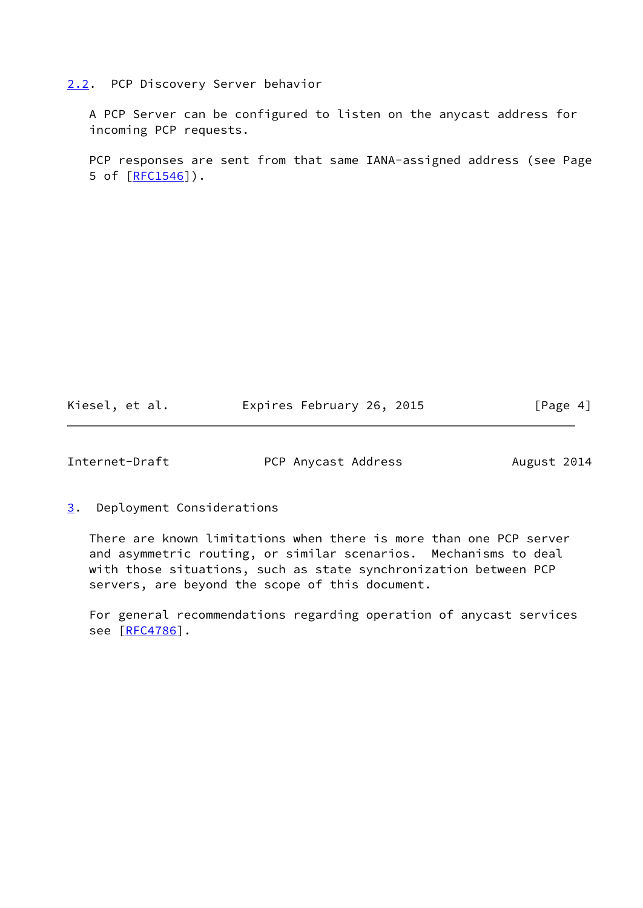## <span id="page-4-0"></span>[2.2](#page-4-0). PCP Discovery Server behavior

 A PCP Server can be configured to listen on the anycast address for incoming PCP requests.

 PCP responses are sent from that same IANA-assigned address (see Page 5 of [\[RFC1546](https://datatracker.ietf.org/doc/pdf/rfc1546)]).

Kiesel, et al. Expires February 26, 2015 [Page 4]

<span id="page-4-2"></span>Internet-Draft **PCP** Anycast Address August 2014

<span id="page-4-1"></span>[3](#page-4-1). Deployment Considerations

 There are known limitations when there is more than one PCP server and asymmetric routing, or similar scenarios. Mechanisms to deal with those situations, such as state synchronization between PCP servers, are beyond the scope of this document.

 For general recommendations regarding operation of anycast services see [\[RFC4786](https://datatracker.ietf.org/doc/pdf/rfc4786)].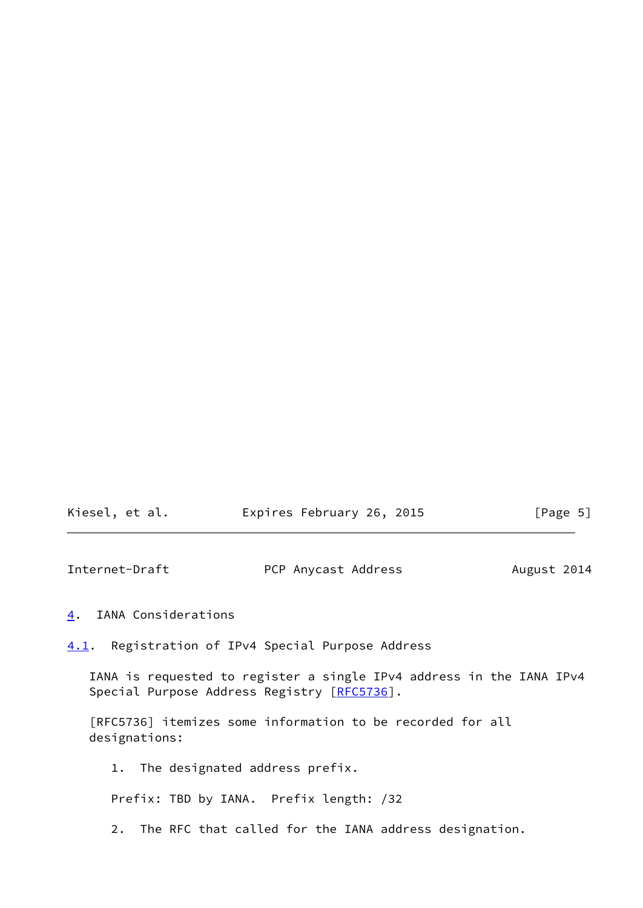<span id="page-5-1"></span>

| Kiesel, et al. | Expires February 26, 2015 |  | [Page 5] |
|----------------|---------------------------|--|----------|
|----------------|---------------------------|--|----------|

<span id="page-5-0"></span>[4](#page-5-0). IANA Considerations

<span id="page-5-2"></span>[4.1](#page-5-2). Registration of IPv4 Special Purpose Address

 IANA is requested to register a single IPv4 address in the IANA IPv4 Special Purpose Address Registry [\[RFC5736](https://datatracker.ietf.org/doc/pdf/rfc5736)].

 [RFC5736] itemizes some information to be recorded for all designations:

1. The designated address prefix.

Prefix: TBD by IANA. Prefix length: /32

2. The RFC that called for the IANA address designation.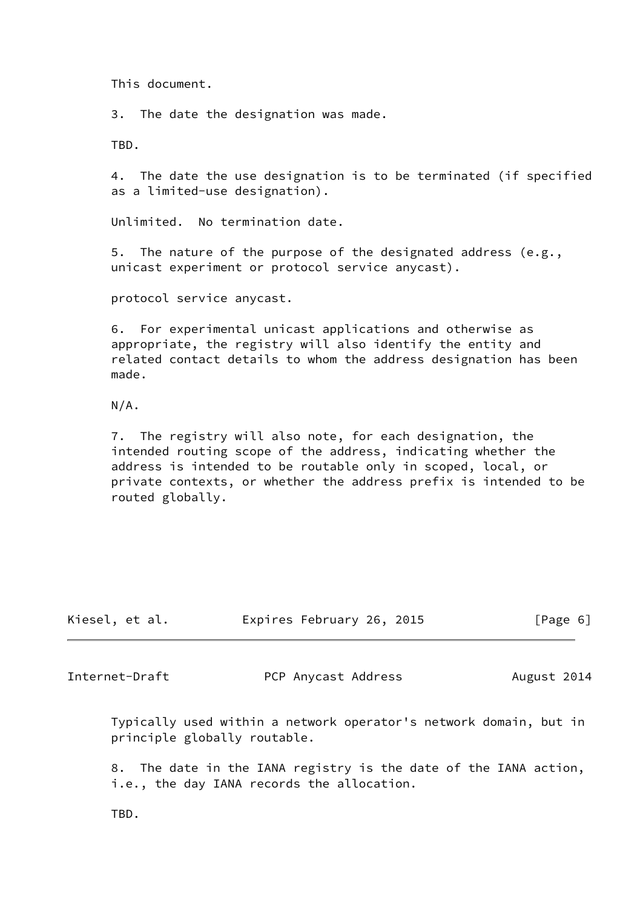This document.

3. The date the designation was made.

TBD.

 4. The date the use designation is to be terminated (if specified as a limited-use designation).

Unlimited. No termination date.

 5. The nature of the purpose of the designated address (e.g., unicast experiment or protocol service anycast).

protocol service anycast.

 6. For experimental unicast applications and otherwise as appropriate, the registry will also identify the entity and related contact details to whom the address designation has been made.

N/A.

 7. The registry will also note, for each designation, the intended routing scope of the address, indicating whether the address is intended to be routable only in scoped, local, or private contexts, or whether the address prefix is intended to be routed globally.

| Kiesel, et al. | Expires February 26, 2015 | [Page 6] |
|----------------|---------------------------|----------|

<span id="page-6-0"></span>Internet-Draft PCP Anycast Address August 2014

 Typically used within a network operator's network domain, but in principle globally routable.

 8. The date in the IANA registry is the date of the IANA action, i.e., the day IANA records the allocation.

TBD.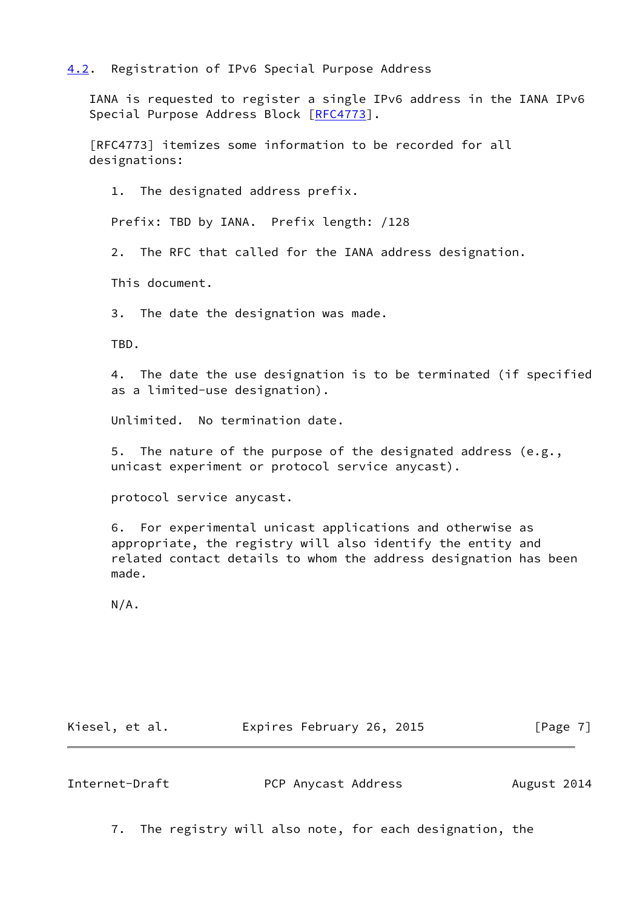# <span id="page-7-0"></span>[4.2](#page-7-0). Registration of IPv6 Special Purpose Address

 IANA is requested to register a single IPv6 address in the IANA IPv6 Special Purpose Address Block [[RFC4773](https://datatracker.ietf.org/doc/pdf/rfc4773)].

 [RFC4773] itemizes some information to be recorded for all designations:

1. The designated address prefix.

Prefix: TBD by IANA. Prefix length: /128

2. The RFC that called for the IANA address designation.

This document.

3. The date the designation was made.

TBD.

 4. The date the use designation is to be terminated (if specified as a limited-use designation).

Unlimited. No termination date.

 5. The nature of the purpose of the designated address (e.g., unicast experiment or protocol service anycast).

protocol service anycast.

 6. For experimental unicast applications and otherwise as appropriate, the registry will also identify the entity and related contact details to whom the address designation has been made.

N/A.

| Kiesel, et al. | Expires February 26, 2015 | [Page 7] |
|----------------|---------------------------|----------|
|----------------|---------------------------|----------|

Internet-Draft **PCP Anycast Address** August 2014

7. The registry will also note, for each designation, the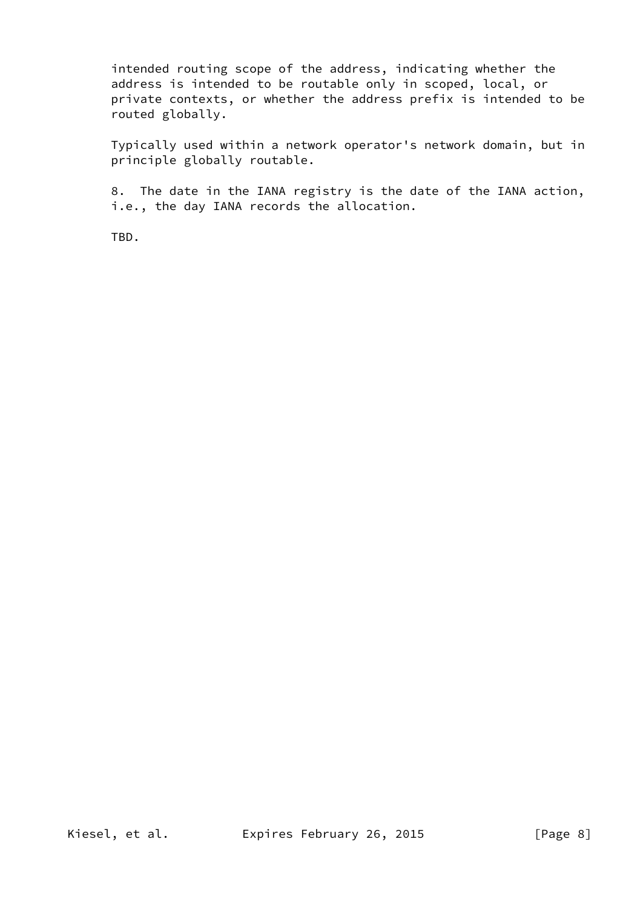intended routing scope of the address, indicating whether the address is intended to be routable only in scoped, local, or private contexts, or whether the address prefix is intended to be routed globally.

 Typically used within a network operator's network domain, but in principle globally routable.

 8. The date in the IANA registry is the date of the IANA action, i.e., the day IANA records the allocation.

TBD.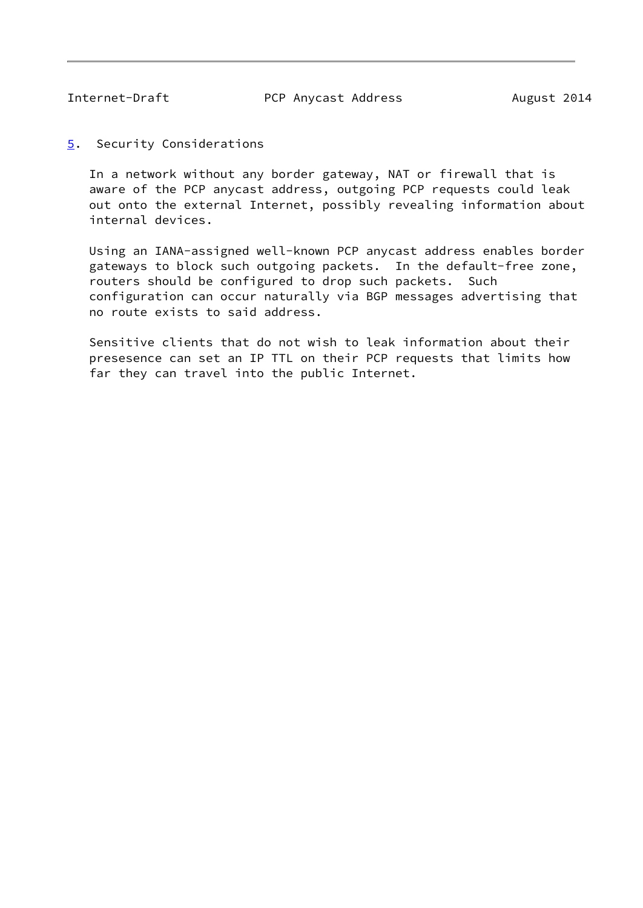<span id="page-9-1"></span>

<span id="page-9-0"></span>[5](#page-9-0). Security Considerations

 In a network without any border gateway, NAT or firewall that is aware of the PCP anycast address, outgoing PCP requests could leak out onto the external Internet, possibly revealing information about internal devices.

 Using an IANA-assigned well-known PCP anycast address enables border gateways to block such outgoing packets. In the default-free zone, routers should be configured to drop such packets. Such configuration can occur naturally via BGP messages advertising that no route exists to said address.

 Sensitive clients that do not wish to leak information about their presesence can set an IP TTL on their PCP requests that limits how far they can travel into the public Internet.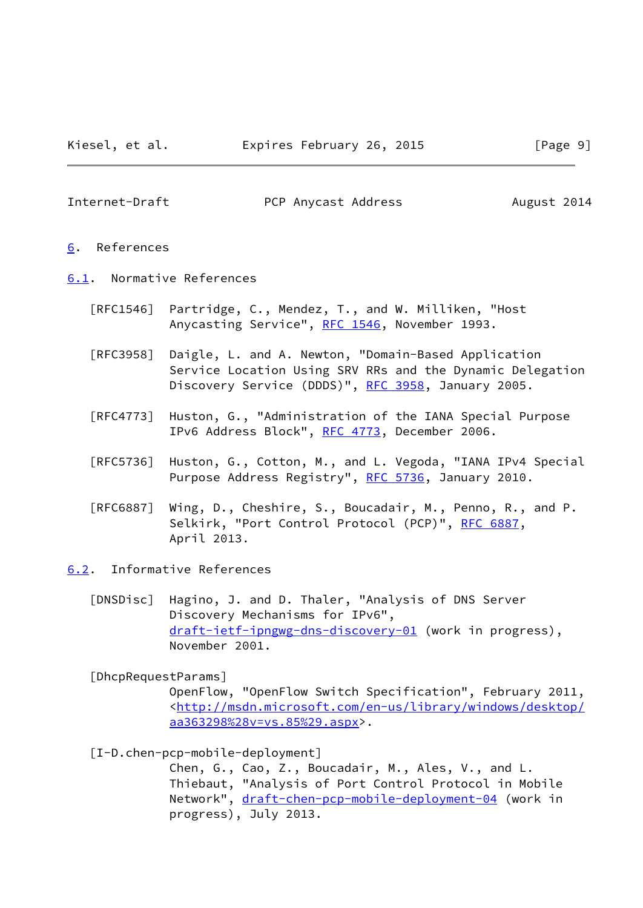<span id="page-10-1"></span>

### <span id="page-10-0"></span>[6](#page-10-0). References

- <span id="page-10-2"></span>[6.1](#page-10-2). Normative References
	- [RFC1546] Partridge, C., Mendez, T., and W. Milliken, "Host Anycasting Service", [RFC 1546](https://datatracker.ietf.org/doc/pdf/rfc1546), November 1993.
	- [RFC3958] Daigle, L. and A. Newton, "Domain-Based Application Service Location Using SRV RRs and the Dynamic Delegation Discovery Service (DDDS)", [RFC 3958](https://datatracker.ietf.org/doc/pdf/rfc3958), January 2005.
	- [RFC4773] Huston, G., "Administration of the IANA Special Purpose IPv6 Address Block", [RFC 4773](https://datatracker.ietf.org/doc/pdf/rfc4773), December 2006.
	- [RFC5736] Huston, G., Cotton, M., and L. Vegoda, "IANA IPv4 Special Purpose Address Registry", [RFC 5736](https://datatracker.ietf.org/doc/pdf/rfc5736), January 2010.
	- [RFC6887] Wing, D., Cheshire, S., Boucadair, M., Penno, R., and P. Selkirk, "Port Control Protocol (PCP)", [RFC 6887,](https://datatracker.ietf.org/doc/pdf/rfc6887) April 2013.
- <span id="page-10-6"></span><span id="page-10-3"></span>[6.2](#page-10-3). Informative References
	- [DNSDisc] Hagino, J. and D. Thaler, "Analysis of DNS Server Discovery Mechanisms for IPv6", [draft-ietf-ipngwg-dns-discovery-01](https://datatracker.ietf.org/doc/pdf/draft-ietf-ipngwg-dns-discovery-01) (work in progress), November 2001.

### <span id="page-10-5"></span>[DhcpRequestParams]

 OpenFlow, "OpenFlow Switch Specification", February 2011, <[http://msdn.microsoft.com/en-us/library/windows/desktop/](http://msdn.microsoft.com/en-us/library/windows/desktop/aa363298%28v=vs.85%29.aspx) [aa363298%28v=vs.85%29.aspx>](http://msdn.microsoft.com/en-us/library/windows/desktop/aa363298%28v=vs.85%29.aspx).

#### <span id="page-10-4"></span>[I-D.chen-pcp-mobile-deployment]

 Chen, G., Cao, Z., Boucadair, M., Ales, V., and L. Thiebaut, "Analysis of Port Control Protocol in Mobile Network", [draft-chen-pcp-mobile-deployment-04](https://datatracker.ietf.org/doc/pdf/draft-chen-pcp-mobile-deployment-04) (work in progress), July 2013.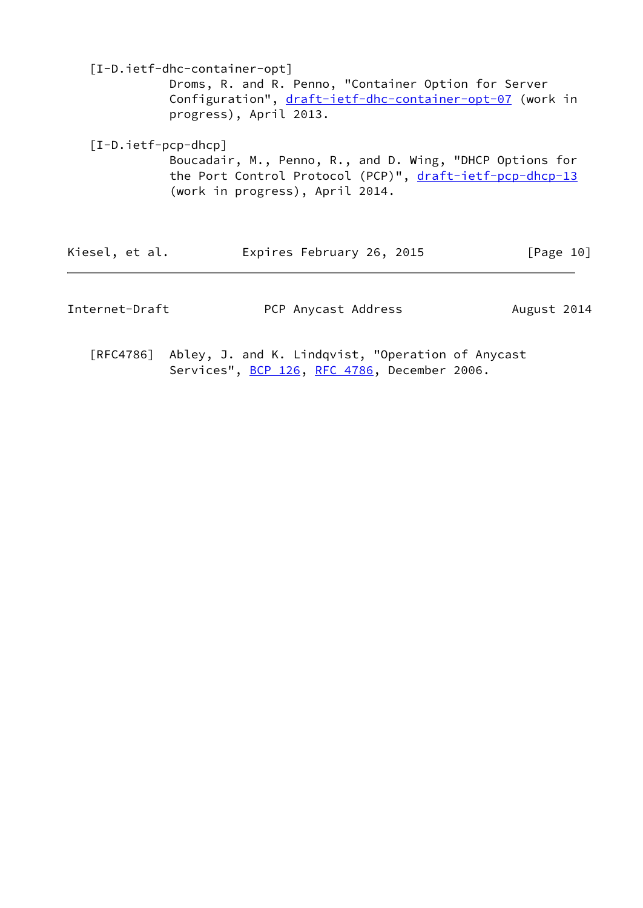<span id="page-11-1"></span> [I-D.ietf-dhc-container-opt] Droms, R. and R. Penno, "Container Option for Server Configuration", [draft-ietf-dhc-container-opt-07](https://datatracker.ietf.org/doc/pdf/draft-ietf-dhc-container-opt-07) (work in progress), April 2013.

<span id="page-11-0"></span> [I-D.ietf-pcp-dhcp] Boucadair, M., Penno, R., and D. Wing, "DHCP Options for the Port Control Protocol (PCP)", [draft-ietf-pcp-dhcp-13](https://datatracker.ietf.org/doc/pdf/draft-ietf-pcp-dhcp-13) (work in progress), April 2014.

| Kiesel, et al. | Expires February 26, 2015 | [Page 10] |
|----------------|---------------------------|-----------|
|----------------|---------------------------|-----------|

Internet-Draft PCP Anycast Address August 2014

 [RFC4786] Abley, J. and K. Lindqvist, "Operation of Anycast Services", [BCP 126](https://datatracker.ietf.org/doc/pdf/bcp126), [RFC 4786,](https://datatracker.ietf.org/doc/pdf/rfc4786) December 2006.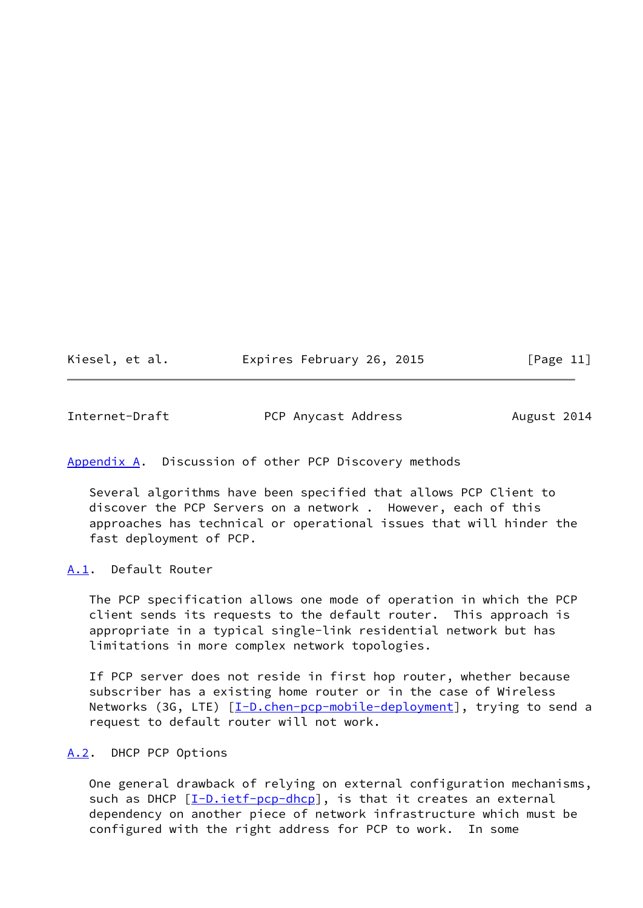<span id="page-12-1"></span>

| Kiesel, et al. |  | Expires February 26, 2015 | [Page 11] |
|----------------|--|---------------------------|-----------|
|----------------|--|---------------------------|-----------|

## <span id="page-12-0"></span>[Appendix A.](#page-12-0) Discussion of other PCP Discovery methods

 Several algorithms have been specified that allows PCP Client to discover the PCP Servers on a network . However, each of this approaches has technical or operational issues that will hinder the fast deployment of PCP.

## <span id="page-12-2"></span>[A.1](#page-12-2). Default Router

 The PCP specification allows one mode of operation in which the PCP client sends its requests to the default router. This approach is appropriate in a typical single-link residential network but has limitations in more complex network topologies.

 If PCP server does not reside in first hop router, whether because subscriber has a existing home router or in the case of Wireless Networks (3G, LTE) [[I-D.chen-pcp-mobile-deployment](#page-10-4)], trying to send a request to default router will not work.

## <span id="page-12-3"></span>[A.2](#page-12-3). DHCP PCP Options

 One general drawback of relying on external configuration mechanisms, such as DHCP [\[I-D.ietf-pcp-dhcp\]](#page-11-0), is that it creates an external dependency on another piece of network infrastructure which must be configured with the right address for PCP to work. In some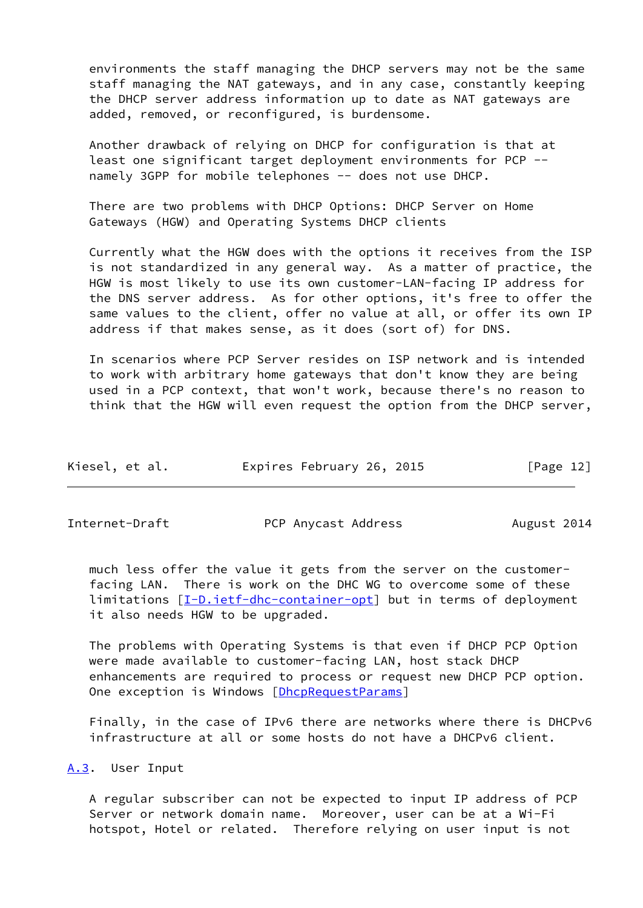environments the staff managing the DHCP servers may not be the same staff managing the NAT gateways, and in any case, constantly keeping the DHCP server address information up to date as NAT gateways are added, removed, or reconfigured, is burdensome.

 Another drawback of relying on DHCP for configuration is that at least one significant target deployment environments for PCP - namely 3GPP for mobile telephones -- does not use DHCP.

 There are two problems with DHCP Options: DHCP Server on Home Gateways (HGW) and Operating Systems DHCP clients

 Currently what the HGW does with the options it receives from the ISP is not standardized in any general way. As a matter of practice, the HGW is most likely to use its own customer-LAN-facing IP address for the DNS server address. As for other options, it's free to offer the same values to the client, offer no value at all, or offer its own IP address if that makes sense, as it does (sort of) for DNS.

 In scenarios where PCP Server resides on ISP network and is intended to work with arbitrary home gateways that don't know they are being used in a PCP context, that won't work, because there's no reason to think that the HGW will even request the option from the DHCP server,

| Kiesel, et al. | Expires February 26, 2015 | [Page 12] |
|----------------|---------------------------|-----------|
|----------------|---------------------------|-----------|

<span id="page-13-1"></span>

Internet-Draft **PCP Anycast Address** August 2014

 much less offer the value it gets from the server on the customer facing LAN. There is work on the DHC WG to overcome some of these limitations [\[I-D.ietf-dhc-container-opt\]](#page-11-1) but in terms of deployment it also needs HGW to be upgraded.

 The problems with Operating Systems is that even if DHCP PCP Option were made available to customer-facing LAN, host stack DHCP enhancements are required to process or request new DHCP PCP option. One exception is Windows [\[DhcpRequestParams\]](#page-10-5)

 Finally, in the case of IPv6 there are networks where there is DHCPv6 infrastructure at all or some hosts do not have a DHCPv6 client.

## <span id="page-13-0"></span>[A.3](#page-13-0). User Input

 A regular subscriber can not be expected to input IP address of PCP Server or network domain name. Moreover, user can be at a Wi-Fi hotspot, Hotel or related. Therefore relying on user input is not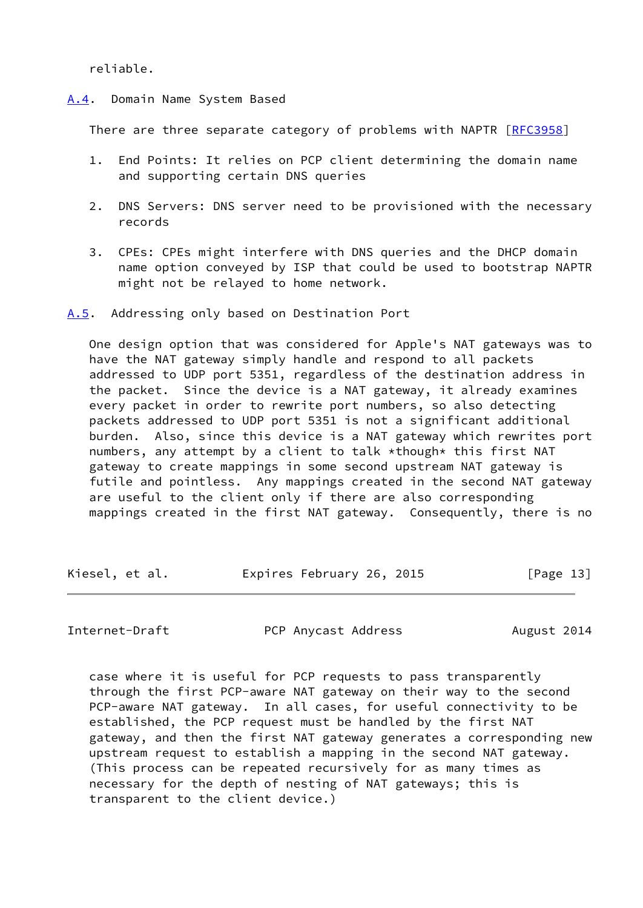reliable.

<span id="page-14-0"></span>[A.4](#page-14-0). Domain Name System Based

There are three separate category of problems with NAPTR [\[RFC3958](https://datatracker.ietf.org/doc/pdf/rfc3958)]

- 1. End Points: It relies on PCP client determining the domain name and supporting certain DNS queries
- 2. DNS Servers: DNS server need to be provisioned with the necessary records
- 3. CPEs: CPEs might interfere with DNS queries and the DHCP domain name option conveyed by ISP that could be used to bootstrap NAPTR might not be relayed to home network.

<span id="page-14-1"></span>[A.5](#page-14-1). Addressing only based on Destination Port

 One design option that was considered for Apple's NAT gateways was to have the NAT gateway simply handle and respond to all packets addressed to UDP port 5351, regardless of the destination address in the packet. Since the device is a NAT gateway, it already examines every packet in order to rewrite port numbers, so also detecting packets addressed to UDP port 5351 is not a significant additional burden. Also, since this device is a NAT gateway which rewrites port numbers, any attempt by a client to talk \*though\* this first NAT gateway to create mappings in some second upstream NAT gateway is futile and pointless. Any mappings created in the second NAT gateway are useful to the client only if there are also corresponding mappings created in the first NAT gateway. Consequently, there is no

Kiesel, et al. Expires February 26, 2015 [Page 13]

Internet-Draft **PCP Anycast Address** August 2014

 case where it is useful for PCP requests to pass transparently through the first PCP-aware NAT gateway on their way to the second PCP-aware NAT gateway. In all cases, for useful connectivity to be established, the PCP request must be handled by the first NAT gateway, and then the first NAT gateway generates a corresponding new upstream request to establish a mapping in the second NAT gateway. (This process can be repeated recursively for as many times as necessary for the depth of nesting of NAT gateways; this is transparent to the client device.)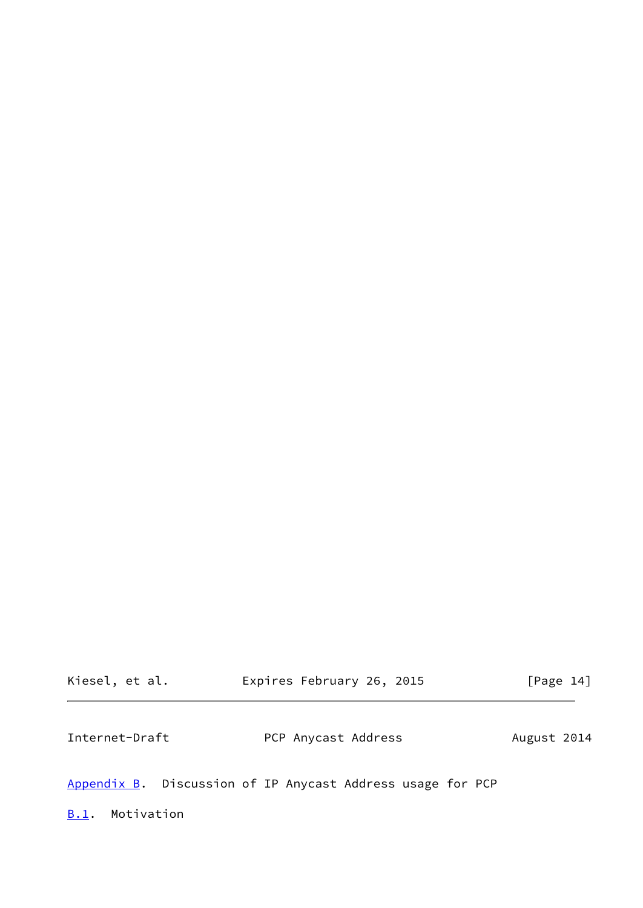<span id="page-15-1"></span>

| Kiesel, et al. | Expires February 26, 2015                                  |             | [Page $14$ ] |
|----------------|------------------------------------------------------------|-------------|--------------|
| Internet-Draft | PCP Anycast Address                                        | August 2014 |              |
|                | Appendix B. Discussion of IP Anycast Address usage for PCP |             |              |

<span id="page-15-2"></span><span id="page-15-0"></span>[B.1](#page-15-2). Motivation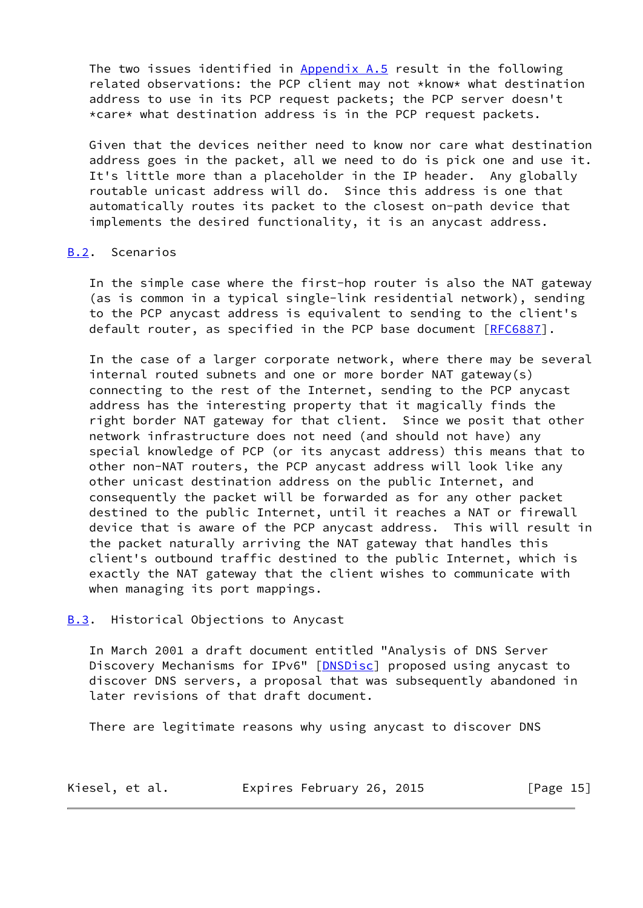The two issues identified in [Appendix A.5](#page-14-1) result in the following related observations: the PCP client may not \*know\* what destination address to use in its PCP request packets; the PCP server doesn't \*care\* what destination address is in the PCP request packets.

 Given that the devices neither need to know nor care what destination address goes in the packet, all we need to do is pick one and use it. It's little more than a placeholder in the IP header. Any globally routable unicast address will do. Since this address is one that automatically routes its packet to the closest on-path device that implements the desired functionality, it is an anycast address.

## <span id="page-16-0"></span>[B.2](#page-16-0). Scenarios

 In the simple case where the first-hop router is also the NAT gateway (as is common in a typical single-link residential network), sending to the PCP anycast address is equivalent to sending to the client's default router, as specified in the PCP base document [[RFC6887](https://datatracker.ietf.org/doc/pdf/rfc6887)].

 In the case of a larger corporate network, where there may be several internal routed subnets and one or more border NAT gateway(s) connecting to the rest of the Internet, sending to the PCP anycast address has the interesting property that it magically finds the right border NAT gateway for that client. Since we posit that other network infrastructure does not need (and should not have) any special knowledge of PCP (or its anycast address) this means that to other non-NAT routers, the PCP anycast address will look like any other unicast destination address on the public Internet, and consequently the packet will be forwarded as for any other packet destined to the public Internet, until it reaches a NAT or firewall device that is aware of the PCP anycast address. This will result in the packet naturally arriving the NAT gateway that handles this client's outbound traffic destined to the public Internet, which is exactly the NAT gateway that the client wishes to communicate with when managing its port mappings.

### <span id="page-16-1"></span>**[B.3](#page-16-1).** Historical Objections to Anycast

 In March 2001 a draft document entitled "Analysis of DNS Server Discovery Mechanisms for IPv6" [\[DNSDisc](#page-10-6)] proposed using anycast to discover DNS servers, a proposal that was subsequently abandoned in later revisions of that draft document.

There are legitimate reasons why using anycast to discover DNS

| Kiesel, et al. | Expires February 26, 2015 | [Page 15] |
|----------------|---------------------------|-----------|
|----------------|---------------------------|-----------|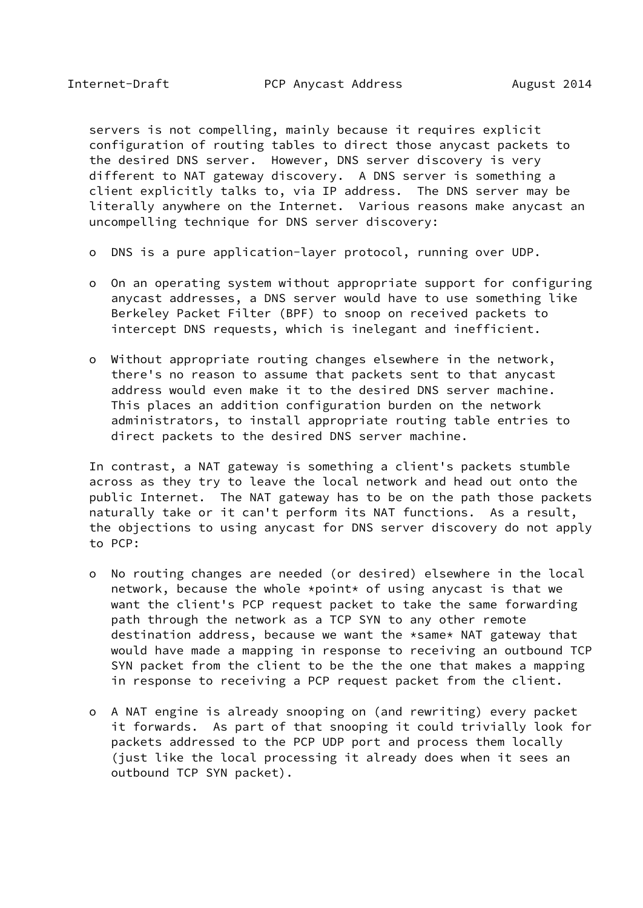servers is not compelling, mainly because it requires explicit configuration of routing tables to direct those anycast packets to the desired DNS server. However, DNS server discovery is very different to NAT gateway discovery. A DNS server is something a client explicitly talks to, via IP address. The DNS server may be literally anywhere on the Internet. Various reasons make anycast an uncompelling technique for DNS server discovery:

- o DNS is a pure application-layer protocol, running over UDP.
- o On an operating system without appropriate support for configuring anycast addresses, a DNS server would have to use something like Berkeley Packet Filter (BPF) to snoop on received packets to intercept DNS requests, which is inelegant and inefficient.
- o Without appropriate routing changes elsewhere in the network, there's no reason to assume that packets sent to that anycast address would even make it to the desired DNS server machine. This places an addition configuration burden on the network administrators, to install appropriate routing table entries to direct packets to the desired DNS server machine.

 In contrast, a NAT gateway is something a client's packets stumble across as they try to leave the local network and head out onto the public Internet. The NAT gateway has to be on the path those packets naturally take or it can't perform its NAT functions. As a result, the objections to using anycast for DNS server discovery do not apply to PCP:

- o No routing changes are needed (or desired) elsewhere in the local network, because the whole \*point\* of using anycast is that we want the client's PCP request packet to take the same forwarding path through the network as a TCP SYN to any other remote destination address, because we want the \*same\* NAT gateway that would have made a mapping in response to receiving an outbound TCP SYN packet from the client to be the the one that makes a mapping in response to receiving a PCP request packet from the client.
- o A NAT engine is already snooping on (and rewriting) every packet it forwards. As part of that snooping it could trivially look for packets addressed to the PCP UDP port and process them locally (just like the local processing it already does when it sees an outbound TCP SYN packet).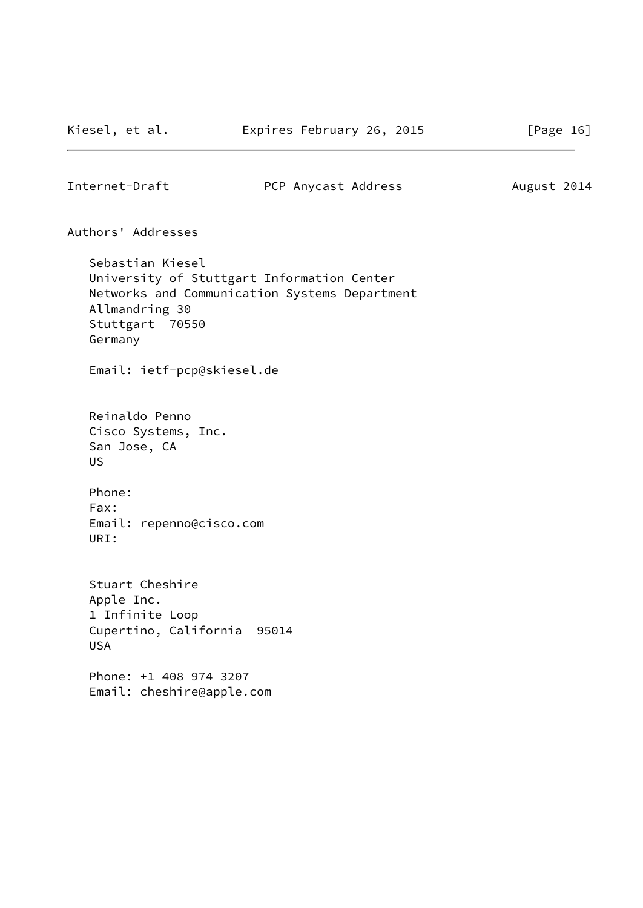<span id="page-18-0"></span>

Authors' Addresses

 Sebastian Kiesel University of Stuttgart Information Center Networks and Communication Systems Department Allmandring 30 Stuttgart 70550 Germany

Email: ietf-pcp@skiesel.de

 Reinaldo Penno Cisco Systems, Inc. San Jose, CA US

 Phone: Fax: Email: repenno@cisco.com URI:

 Stuart Cheshire Apple Inc. 1 Infinite Loop Cupertino, California 95014 USA

 Phone: +1 408 974 3207 Email: cheshire@apple.com